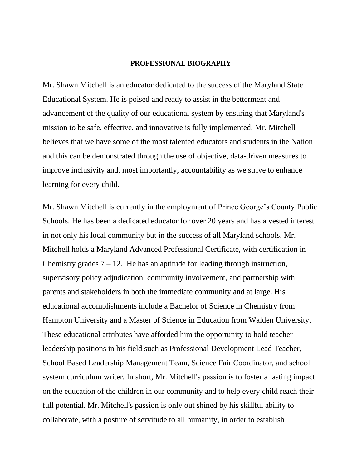#### **PROFESSIONAL BIOGRAPHY**

Mr. Shawn Mitchell is an educator dedicated to the success of the Maryland State Educational System. He is poised and ready to assist in the betterment and advancement of the quality of our educational system by ensuring that Maryland's mission to be safe, effective, and innovative is fully implemented. Mr. Mitchell believes that we have some of the most talented educators and students in the Nation and this can be demonstrated through the use of objective, data-driven measures to improve inclusivity and, most importantly, accountability as we strive to enhance learning for every child.

Mr. Shawn Mitchell is currently in the employment of Prince George's County Public Schools. He has been a dedicated educator for over 20 years and has a vested interest in not only his local community but in the success of all Maryland schools. Mr. Mitchell holds a Maryland Advanced Professional Certificate, with certification in Chemistry grades  $7 - 12$ . He has an aptitude for leading through instruction, supervisory policy adjudication, community involvement, and partnership with parents and stakeholders in both the immediate community and at large. His educational accomplishments include a Bachelor of Science in Chemistry from Hampton University and a Master of Science in Education from Walden University. These educational attributes have afforded him the opportunity to hold teacher leadership positions in his field such as Professional Development Lead Teacher, School Based Leadership Management Team, Science Fair Coordinator, and school system curriculum writer. In short, Mr. Mitchell's passion is to foster a lasting impact on the education of the children in our community and to help every child reach their full potential. Mr. Mitchell's passion is only out shined by his skillful ability to collaborate, with a posture of servitude to all humanity, in order to establish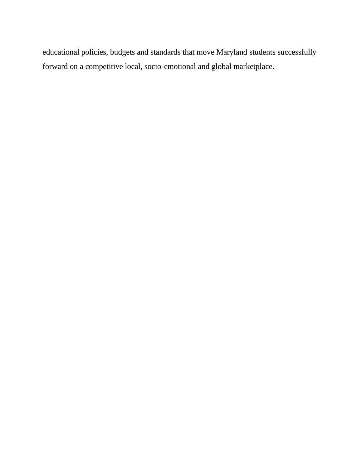educational policies, budgets and standards that move Maryland students successfully forward on a competitive local, socio-emotional and global marketplace.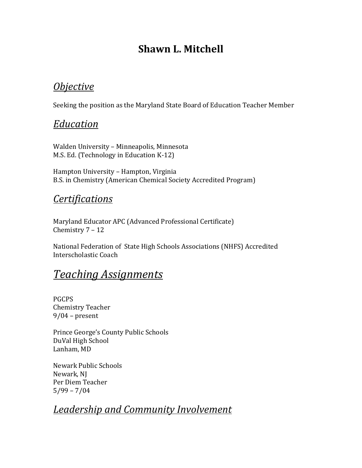# **Shawn L. Mitchell**

## *Objective*

Seeking the position as the Maryland State Board of Education Teacher Member

### *Education*

Walden University – Minneapolis, Minnesota M.S. Ed. (Technology in Education K-12)

Hampton University – Hampton, Virginia B.S. in Chemistry (American Chemical Society Accredited Program)

### *Certifications*

Maryland Educator APC (Advanced Professional Certificate) Chemistry 7 – 12

National Federation of State High Schools Associations (NHFS) Accredited Interscholastic Coach

# *Teaching Assignments*

PGCPS Chemistry Teacher 9/04 – present

Prince George's County Public Schools DuVal High School Lanham, MD

Newark Public Schools Newark, NJ Per Diem Teacher  $5/99 - 7/04$ 

# *Leadership and Community Involvement*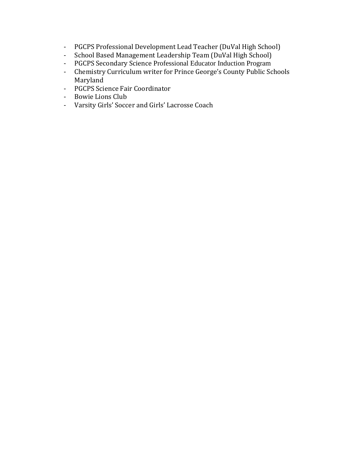- PGCPS Professional Development Lead Teacher (DuVal High School)
- School Based Management Leadership Team (DuVal High School)
- PGCPS Secondary Science Professional Educator Induction Program
- Chemistry Curriculum writer for Prince George's County Public Schools Maryland
- PGCPS Science Fair Coordinator
- Bowie Lions Club
- Varsity Girls' Soccer and Girls' Lacrosse Coach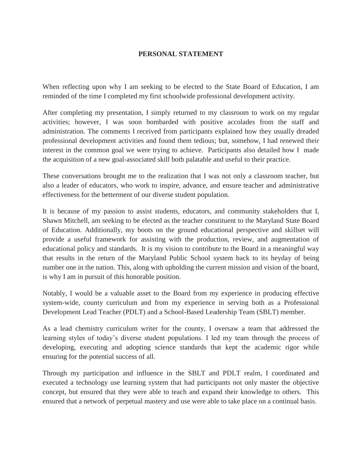#### **PERSONAL STATEMENT**

When reflecting upon why I am seeking to be elected to the State Board of Education, I am reminded of the time I completed my first schoolwide professional development activity.

After completing my presentation, I simply returned to my classroom to work on my regular activities; however, I was soon bombarded with positive accolades from the staff and administration. The comments I received from participants explained how they usually dreaded professional development activities and found them tedious; but, somehow, I had renewed their interest in the common goal we were trying to achieve. Participants also detailed how I made the acquisition of a new goal-associated skill both palatable and useful to their practice.

These conversations brought me to the realization that I was not only a classroom teacher, but also a leader of educators, who work to inspire, advance, and ensure teacher and administrative effectiveness for the betterment of our diverse student population.

It is because of my passion to assist students, educators, and community stakeholders that I, Shawn Mitchell, am seeking to be elected as the teacher constituent to the Maryland State Board of Education. Additionally, my boots on the ground educational perspective and skillset will provide a useful framework for assisting with the production, review, and augmentation of educational policy and standards. It is my vision to contribute to the Board in a meaningful way that results in the return of the Maryland Public School system back to its heyday of being number one in the nation. This, along with upholding the current mission and vision of the board, is why I am in pursuit of this honorable position.

Notably, I would be a valuable asset to the Board from my experience in producing effective system-wide, county curriculum and from my experience in serving both as a Professional Development Lead Teacher (PDLT) and a School-Based Leadership Team (SBLT) member.

As a lead chemistry curriculum writer for the county, I oversaw a team that addressed the learning styles of today's diverse student populations. I led my team through the process of developing, executing and adopting science standards that kept the academic rigor while ensuring for the potential success of all.

Through my participation and influence in the SBLT and PDLT realm, I coordinated and executed a technology use learning system that had participants not only master the objective concept, but ensured that they were able to teach and expand their knowledge to others. This ensured that a network of perpetual mastery and use were able to take place on a continual basis.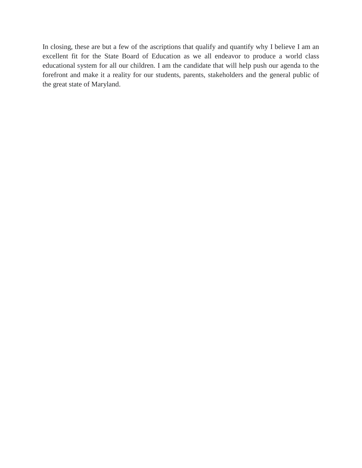In closing, these are but a few of the ascriptions that qualify and quantify why I believe I am an excellent fit for the State Board of Education as we all endeavor to produce a world class educational system for all our children. I am the candidate that will help push our agenda to the forefront and make it a reality for our students, parents, stakeholders and the general public of the great state of Maryland.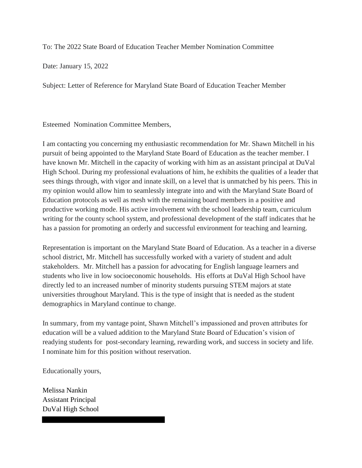To: The 2022 State Board of Education Teacher Member Nomination Committee

Date: January 15, 2022

Subject: Letter of Reference for Maryland State Board of Education Teacher Member

Esteemed Nomination Committee Members,

I am contacting you concerning my enthusiastic recommendation for Mr. Shawn Mitchell in his pursuit of being appointed to the Maryland State Board of Education as the teacher member. I have known Mr. Mitchell in the capacity of working with him as an assistant principal at DuVal High School. During my professional evaluations of him, he exhibits the qualities of a leader that sees things through, with vigor and innate skill, on a level that is unmatched by his peers. This in my opinion would allow him to seamlessly integrate into and with the Maryland State Board of Education protocols as well as mesh with the remaining board members in a positive and productive working mode. His active involvement with the school leadership team, curriculum writing for the county school system, and professional development of the staff indicates that he has a passion for promoting an orderly and successful environment for teaching and learning.

Representation is important on the Maryland State Board of Education. As a teacher in a diverse school district, Mr. Mitchell has successfully worked with a variety of student and adult stakeholders. Mr. Mitchell has a passion for advocating for English language learners and students who live in low socioeconomic households. His efforts at DuVal High School have directly led to an increased number of minority students pursuing STEM majors at state universities throughout Maryland. This is the type of insight that is needed as the student demographics in Maryland continue to change.

In summary, from my vantage point, Shawn Mitchell's impassioned and proven attributes for education will be a valued addition to the Maryland State Board of Education's vision of readying students for post-secondary learning, rewarding work, and success in society and life. I nominate him for this position without reservation.

Educationally yours,

Melissa Nankin Assistant Principal DuVal High School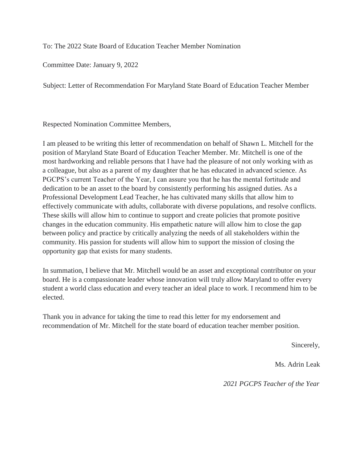To: The 2022 State Board of Education Teacher Member Nomination

Committee Date: January 9, 2022

Subject: Letter of Recommendation For Maryland State Board of Education Teacher Member

Respected Nomination Committee Members,

I am pleased to be writing this letter of recommendation on behalf of Shawn L. Mitchell for the position of Maryland State Board of Education Teacher Member. Mr. Mitchell is one of the most hardworking and reliable persons that I have had the pleasure of not only working with as a colleague, but also as a parent of my daughter that he has educated in advanced science. As PGCPS's current Teacher of the Year, I can assure you that he has the mental fortitude and dedication to be an asset to the board by consistently performing his assigned duties. As a Professional Development Lead Teacher, he has cultivated many skills that allow him to effectively communicate with adults, collaborate with diverse populations, and resolve conflicts. These skills will allow him to continue to support and create policies that promote positive changes in the education community. His empathetic nature will allow him to close the gap between policy and practice by critically analyzing the needs of all stakeholders within the community. His passion for students will allow him to support the mission of closing the opportunity gap that exists for many students.

In summation, I believe that Mr. Mitchell would be an asset and exceptional contributor on your board. He is a compassionate leader whose innovation will truly allow Maryland to offer every student a world class education and every teacher an ideal place to work. I recommend him to be elected.

Thank you in advance for taking the time to read this letter for my endorsement and recommendation of Mr. Mitchell for the state board of education teacher member position.

Sincerely,

Ms. Adrin Leak

*2021 PGCPS Teacher of the Year*